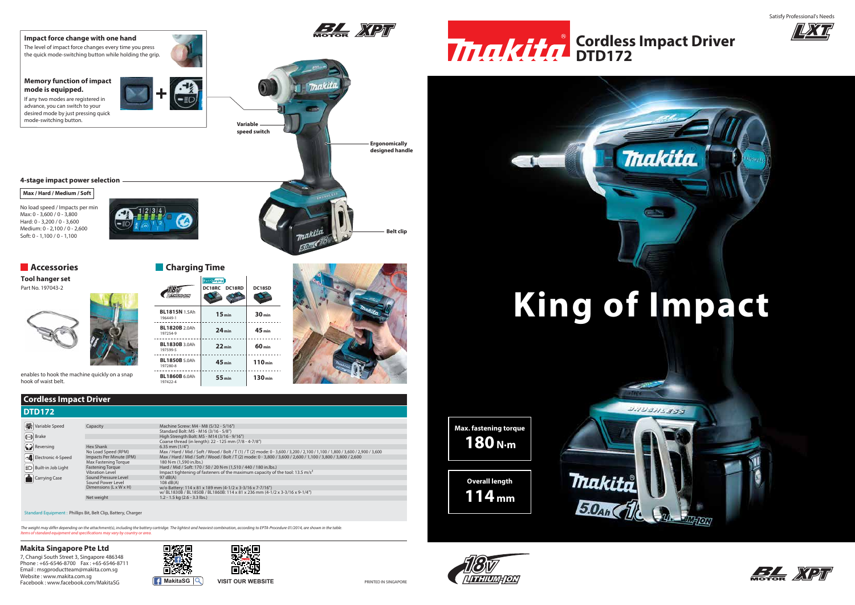

7, Changi South Street 3, Singapore 486348 Phone : +65-6546-8700 Fax : +65-6546-8711 Email : msgproductteam@makita.com.sg Website : www.makita.com.sg Facebook : www.facebook.com/MakitaSG **MakitaSG MakitaSG VISIT OUR WEBSITE** 





### **Makita Singapore Pte Ltd**









### **Cordless Impact Driver**



*Items of standard equipment and specifications may vary by country or area. The weight may differ depending on the attachment(s), including the battery cartridge. The lightest and heaviest combination, according to EPTA-Procedure 01/2014, are shown in the table.* Satisfy Professional's Needs



### **King of Impact**

**Overall length 114 mm**

*ITHIUMHO*N